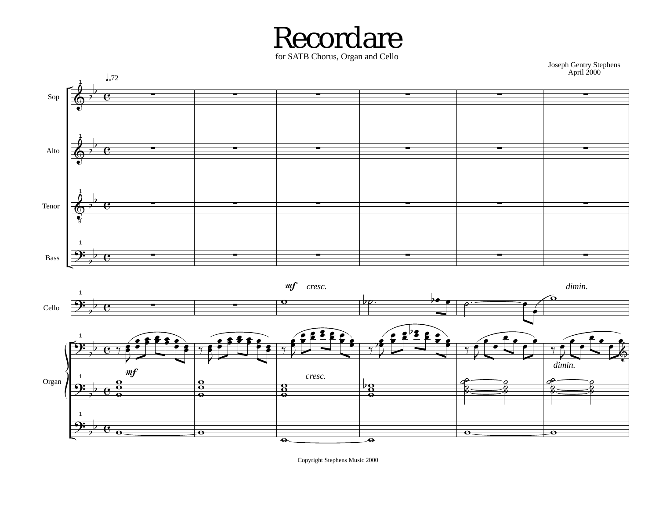## Recordare

for SATB Chorus, Organ and Cello

Joseph Gentry Stephens<br>April 2000  $J = 72$ Sop Alto Tenor **Bass**  $m f$ dimin. cresc.  $\overline{1}$ Cello dimin.  $m f$ cresc. Organ  $\frac{\textbf{o}}{\textbf{o}}$  $\frac{8}{6}$  $\frac{18}{9}$  $\overline{\mathbf{o}}$  $\overline{\mathbf{o}}$  $\overline{\mathbf{o}}$  $\overline{\mathbf{e}}$  $\overline{\bullet}$ 

Copyright Stephens Music 2000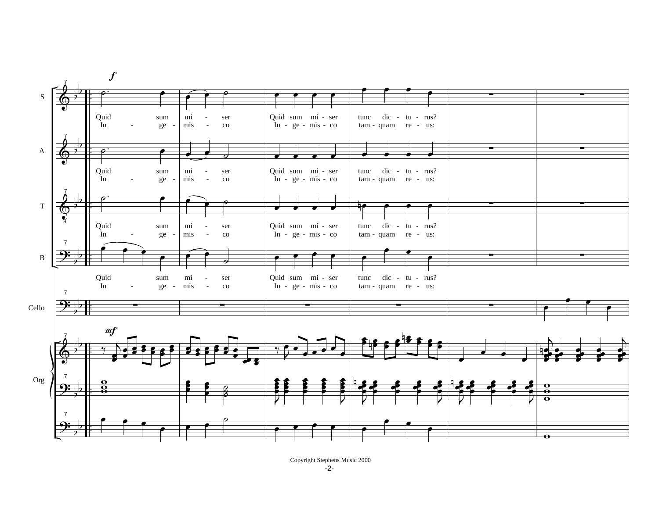

Copyright Stephens Music 2000 -2-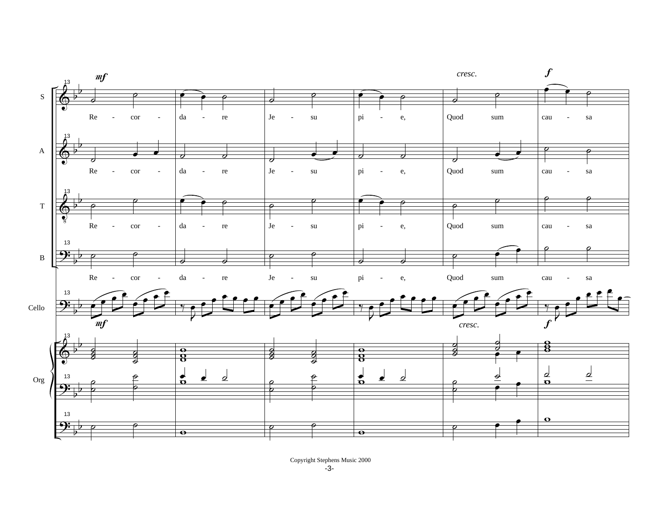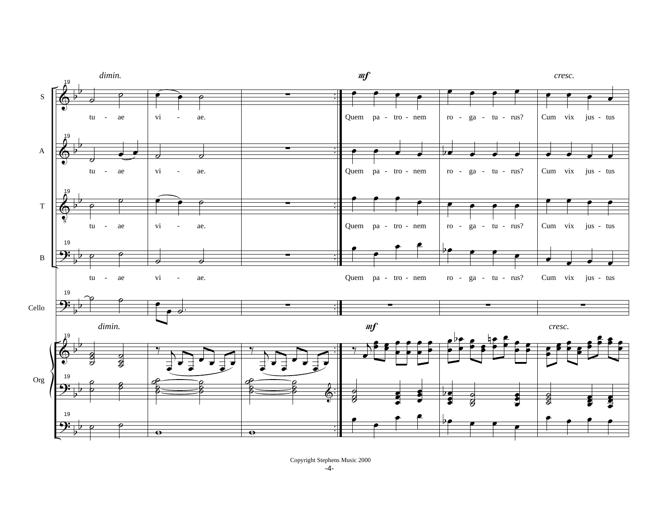

-4- Copyright Stephens Music 2000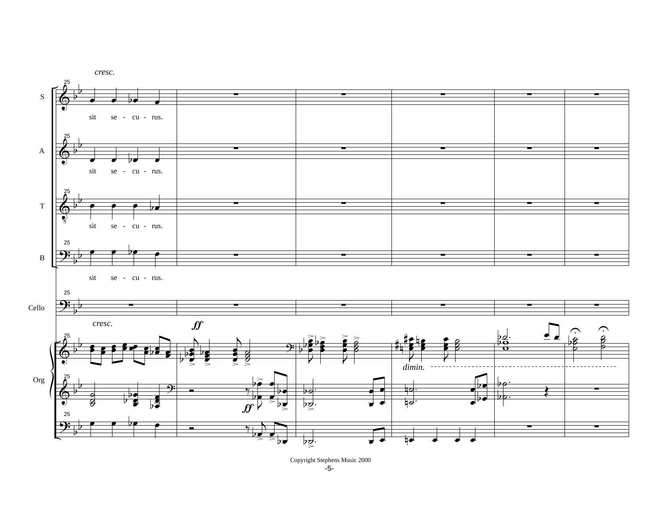

-5- Copyright Stephens Music 2000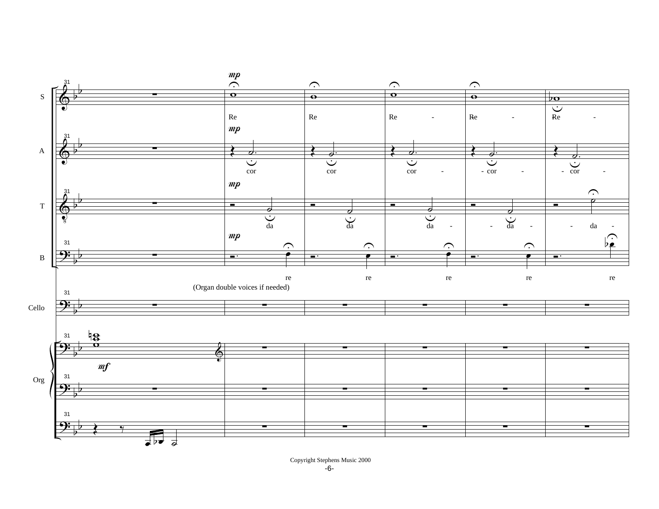

-6- Copyright Stephens Music 2000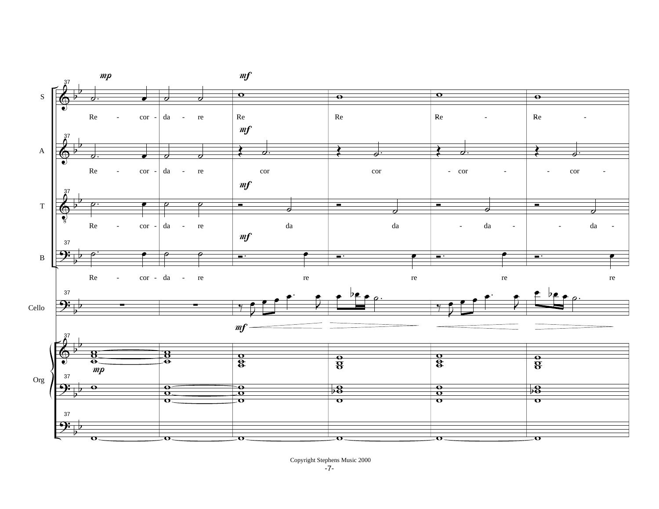

-7- Copyright Stephens Music 2000